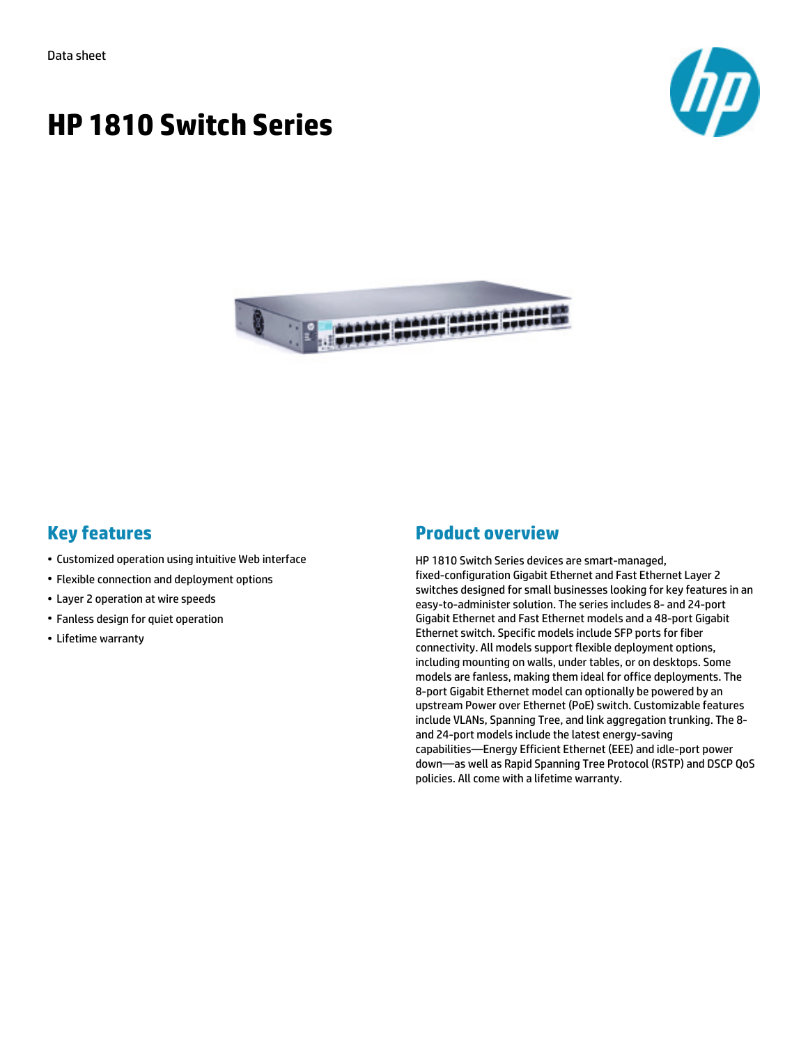



# **Key features**

- Customized operation using intuitive Web interface
- Flexible connection and deployment options
- Layer 2 operation at wire speeds
- Fanless design for quiet operation
- Lifetime warranty

# **Product overview**

HP 1810 Switch Series devices are smart-managed, fixed-configuration Gigabit Ethernet and Fast Ethernet Layer 2 switches designed for small businesses looking for key features in an easy-to-administer solution. The series includes 8- and 24-port Gigabit Ethernet and Fast Ethernet models and a 48-port Gigabit Ethernet switch. Specific models include SFP ports for fiber connectivity. All models support flexible deployment options, including mounting on walls, under tables, or on desktops. Some models are fanless, making them ideal for office deployments. The 8-port Gigabit Ethernet model can optionally be powered by an upstream Power over Ethernet (PoE) switch. Customizable features include VLANs, Spanning Tree, and link aggregation trunking. The 8 and 24-port models include the latest energy-saving capabilities—Energy Efficient Ethernet (EEE) and idle-port power down—as well as Rapid Spanning Tree Protocol (RSTP) and DSCP QoS policies. All come with a lifetime warranty.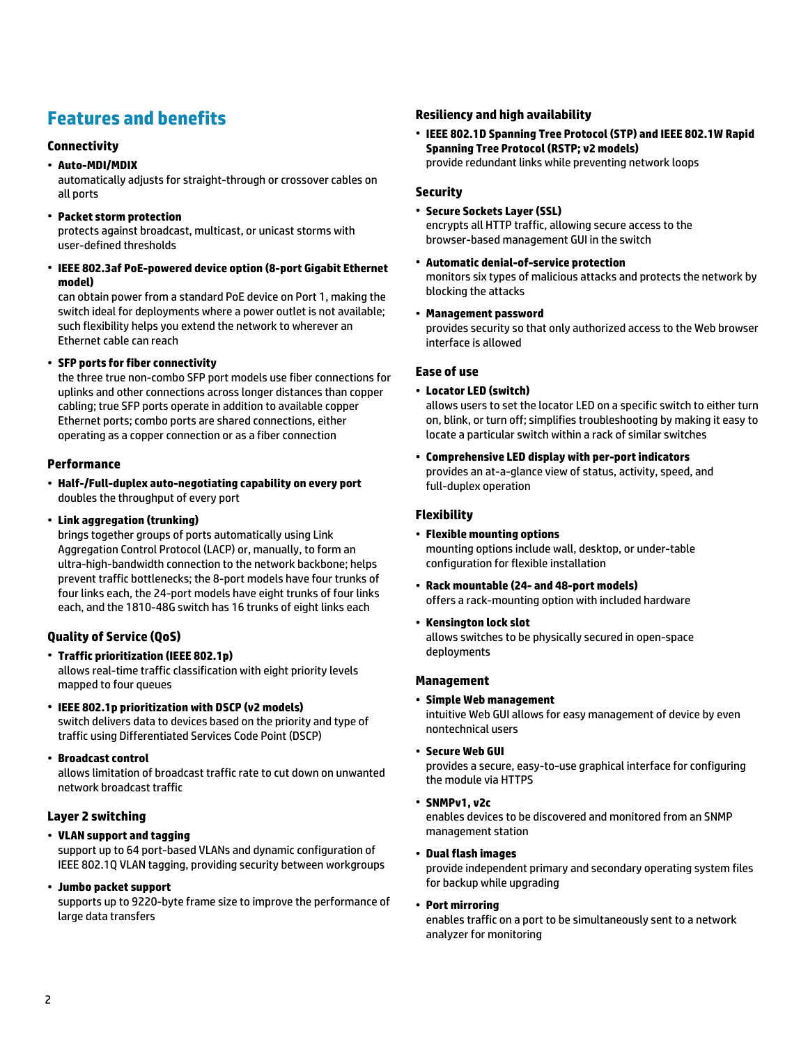# **Features and benefits**

## **Connectivity**

### • **Auto-MDI/MDIX**

automatically adjusts for straight-through or crossover cables on all ports

• **Packet storm protection**

protects against broadcast, multicast, or unicast storms with user-defined thresholds

• **IEEE 802.3af PoE-powered device option (8-port Gigabit Ethernet model)**

can obtain power from a standard PoE device on Port 1, making the switch ideal for deployments where a power outlet is not available; such flexibility helps you extend the network to wherever an Ethernet cable can reach

### • **SFP ports for fiber connectivity**

the three true non-combo SFP port models use fiber connections for uplinks and other connections across longer distances than copper cabling; true SFP ports operate in addition to available copper Ethernet ports; combo ports are shared connections, either operating as a copper connection or as a fiber connection

## **Performance**

- **Half-/Full-duplex auto-negotiating capability on every port** doubles the throughput of every port
- **Link aggregation (trunking)**

brings together groups of ports automatically using Link Aggregation Control Protocol (LACP) or, manually, to form an ultra-high-bandwidth connection to the network backbone; helps prevent traffic bottlenecks; the 8-port models have four trunks of four links each, the 24-port models have eight trunks of four links each, and the 1810-48G switch has 16 trunks of eight links each

# **Quality of Service (QoS)**

- **Traffic prioritization (IEEE 802.1p)** allows real-time traffic classification with eight priority levels mapped to four queues
- **IEEE 802.1p prioritization with DSCP (v2 models)** switch delivers data to devices based on the priority and type of traffic using Differentiated Services Code Point (DSCP)
- **Broadcast control** allows limitation of broadcast traffic rate to cut down on unwanted network broadcast traffic

## **Layer 2 switching**

• **VLAN support and tagging**

support up to 64 port-based VLANs and dynamic configuration of IEEE 802.1Q VLAN tagging, providing security between workgroups

• **Jumbo packet support**

supports up to 9220-byte frame size to improve the performance of large data transfers

### **Resiliency and high availability**

• **IEEE 802.1D Spanning Tree Protocol (STP) and IEEE 802.1W Rapid Spanning Tree Protocol (RSTP; v2 models)** provide redundant links while preventing network loops

#### **Security**

- **Secure Sockets Layer (SSL)** encrypts all HTTP traffic, allowing secure access to the browser-based management GUI in the switch
- **Automatic denial-of-service protection** monitors six types of malicious attacks and protects the network by blocking the attacks
- **Management password**

provides security so that only authorized access to the Web browser interface is allowed

### **Ease of use**

• **Locator LED (switch)**

allows users to set the locator LED on a specific switch to either turn on, blink, or turn off; simplifies troubleshooting by making it easy to locate a particular switch within a rack of similar switches

• **Comprehensive LED display with per-port indicators** provides an at-a-glance view of status, activity, speed, and full-duplex operation

# **Flexibility**

- **Flexible mounting options** mounting options include wall, desktop, or under-table configuration for flexible installation
- **Rack mountable (24- and 48-port models)** offers a rack-mounting option with included hardware
- **Kensington lock slot**

allows switches to be physically secured in open-space deployments

### **Management**

• **Simple Web management**

intuitive Web GUI allows for easy management of device by even nontechnical users

• **Secure Web GUI**

provides a secure, easy-to-use graphical interface for configuring the module via HTTPS

• **SNMPv1, v2c**

enables devices to be discovered and monitored from an SNMP management station

• **Dual flash images**

provide independent primary and secondary operating system files for backup while upgrading

• **Port mirroring**

enables traffic on a port to be simultaneously sent to a network analyzer for monitoring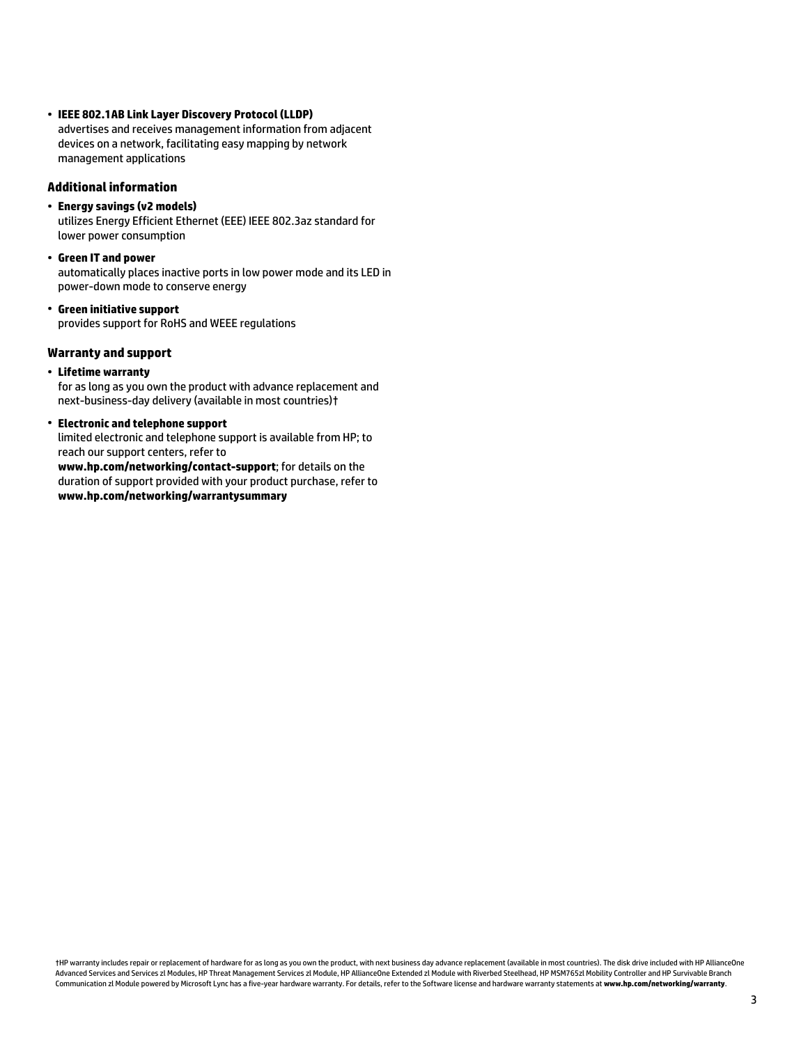• **IEEE 802.1AB Link Layer Discovery Protocol (LLDP)** advertises and receives management information from adjacent devices on a network, facilitating easy mapping by network management applications

#### **Additional information**

• **Energy savings (v2 models)**

utilizes Energy Efficient Ethernet (EEE) IEEE 802.3az standard for lower power consumption

• **Green IT and power**

automatically places inactive ports in low power mode and its LED in power-down mode to conserve energy

• **Green initiative support** provides support for RoHS and WEEE regulations

### **Warranty and support**

• **Lifetime warranty**

for as long as you own the product with advance replacement and next-business-day delivery (available in most countries)†

# • **Electronic and telephone support**

limited electronic and telephone support is available from HP; to reach our support centers, refer to

**www.hp.com/networking/contact-support**; for details on the duration of support provided with your product purchase, refer to **www.hp.com/networking/warrantysummary**

†HP warranty includes repair or replacement of hardware for as long as you own the product, with next business day advance replacement (available in most countries). The disk drive included with HP AllianceOne Advanced Services and Services zl Modules, HP Threat Management Services zl Module, HP AllianceOne Extended zl Module with Riverbed Steelhead, HP MSM765zl Mobility Controller and HP Survivable Branch Communication zl Module powered by Microsoft Lync has a five-year hardware warranty. For details, refer to the Software license and hardware warranty statements at **www.hp.com/networking/warranty**.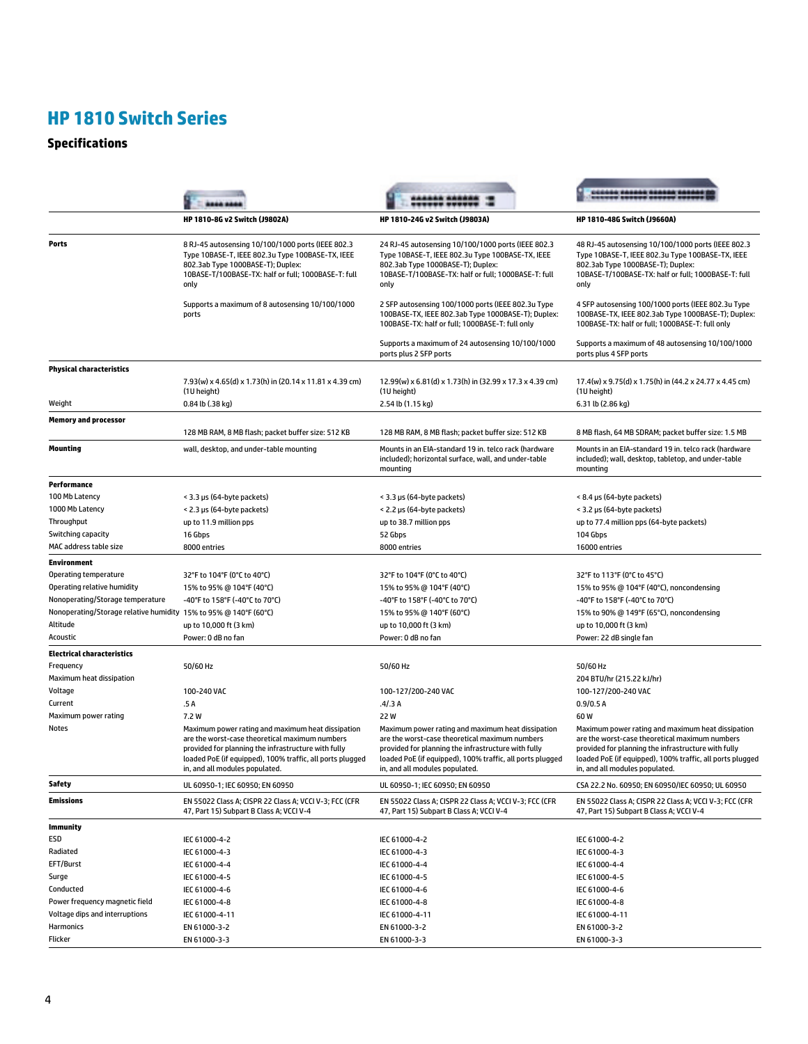# **Specifications**

| HP 1810-8G v2 Switch (J9802A)<br>HP 1810-24G v2 Switch (J9803A)<br>HP 1810-48G Switch (J9660A)<br>8 RJ-45 autosensing 10/100/1000 ports (IEEE 802.3<br>24 RJ-45 autosensing 10/100/1000 ports (IEEE 802.3<br>48 RJ-45 autosensing 10/100/1000 ports (IEEE 802.3<br>Type 10BASE-T, IEEE 802.3u Type 100BASE-TX, IEEE<br>Type 10BASE-T, IEEE 802.3u Type 100BASE-TX, IEEE<br>Type 10BASE-T, IEEE 802.3u Type 100BASE-TX, IEEE<br>802.3ab Type 1000BASE-T); Duplex:<br>802.3ab Type 1000BASE-T); Duplex:<br>802.3ab Type 1000BASE-T); Duplex:<br>10BASE-T/100BASE-TX: half or full; 1000BASE-T: full<br>10BASE-T/100BASE-TX: half or full; 1000BASE-T: full<br>10BASE-T/100BASE-TX: half or full; 1000BASE-T: full<br>only<br>only<br>only<br>Supports a maximum of 8 autosensing 10/100/1000<br>2 SFP autosensing 100/1000 ports (IEEE 802.3u Type<br>4 SFP autosensing 100/1000 ports (IEEE 802.3u Type<br>100BASE-TX, IEEE 802.3ab Type 1000BASE-T); Duplex:<br>100BASE-TX, IEEE 802.3ab Type 1000BASE-T); Duplex:<br>ports<br>100BASE-TX: half or full; 1000BASE-T: full only<br>100BASE-TX: half or full; 1000BASE-T: full only<br>Supports a maximum of 24 autosensing 10/100/1000<br>Supports a maximum of 48 autosensing 10/100/1000<br>ports plus 2 SFP ports<br>ports plus 4 SFP ports<br>7.93(w) x 4.65(d) x 1.73(h) in (20.14 x 11.81 x 4.39 cm)<br>12.99(w) x 6.81(d) x 1.73(h) in (32.99 x 17.3 x 4.39 cm)<br>17.4(w) x 9.75(d) x 1.75(h) in (44.2 x 24.77 x 4.45 cm)<br>(1U height)<br>(10 height)<br>(10 height)<br>Weight<br>0.84 lb (.38 kg)<br>2.54 lb (1.15 kg)<br>6.31 lb (2.86 kg)<br>128 MB RAM, 8 MB flash; packet buffer size: 512 KB<br>128 MB RAM, 8 MB flash; packet buffer size: 512 KB<br>8 MB flash, 64 MB SDRAM; packet buffer size: 1.5 MB<br>wall, desktop, and under-table mounting<br>Mounts in an EIA-standard 19 in. telco rack (hardware<br>Mounts in an EIA-standard 19 in, telco rack (hardware<br>included); horizontal surface, wall, and under-table<br>included); wall, desktop, tabletop, and under-table<br>mounting<br>mounting<br>Performance<br>100 Mb Latency<br>< 3.3 µs (64-byte packets)<br>< 3.3 µs (64-byte packets)<br>< 8.4 µs (64-byte packets)<br>< 2.3 µs (64-byte packets)<br>< 2.2 µs (64-byte packets)<br>< 3.2 µs (64-byte packets)<br>up to 11.9 million pps<br>up to 38.7 million pps<br>up to 77.4 million pps (64-byte packets)<br>Switching capacity<br>16 Gbps<br>52 Gbps<br>104 Gbps<br>8000 entries<br>8000 entries<br>16000 entries<br><b>Environment</b><br>Operating temperature<br>32°F to 104°F (0°C to 40°C)<br>32°F to 104°F (0°C to 40°C)<br>32°F to 113°F (0°C to 45°C)<br>Operating relative humidity<br>15% to 95% @ 104°F (40°C), noncondensing<br>15% to 95% @ 104°F (40°C)<br>15% to 95% @ 104°F (40°C)<br>Nonoperating/Storage temperature<br>-40°F to 158°F (-40°C to 70°C)<br>-40°F to 158°F (-40°C to 70°C)<br>-40°F to 158°F (-40°C to 70°C)<br>Nonoperating/Storage relative humidity 15% to 95% @ 140°F (60°C)<br>15% to 95% @ 140°F (60°C)<br>15% to 90% @ 149°F (65°C), noncondensing<br>Altitude<br>up to 10,000 ft (3 km)<br>up to 10,000 ft (3 km)<br>up to 10,000 ft (3 km)<br>Acoustic<br>Power: 0 dB no fan<br>Power: 0 dB no fan<br>Power: 22 dB single fan<br>50/60 Hz<br>50/60 Hz<br>50/60 Hz<br>204 BTU/hr (215.22 kJ/hr)<br>100-240 VAC<br>100-127/200-240 VAC<br>100-127/200-240 VAC<br>.5 A<br>.4/3A<br>0.9/0.5A<br>22W<br>7.2 W<br>60W<br>Maximum power rating and maximum heat dissipation<br>Maximum power rating and maximum heat dissipation<br>Maximum power rating and maximum heat dissipation<br>are the worst-case theoretical maximum numbers<br>are the worst-case theoretical maximum numbers<br>are the worst-case theoretical maximum numbers<br>provided for planning the infrastructure with fully<br>provided for planning the infrastructure with fully<br>provided for planning the infrastructure with fully<br>loaded PoE (if equipped), 100% traffic, all ports plugged<br>loaded PoE (if equipped), 100% traffic, all ports plugged<br>loaded PoE (if equipped), 100% traffic, all ports plugged<br>in, and all modules populated.<br>in, and all modules populated.<br>in, and all modules populated.<br>UL 60950-1; IEC 60950; EN 60950<br>UL 60950-1; IEC 60950; EN 60950<br>CSA 22.2 No. 60950; EN 60950/IEC 60950; UL 60950<br>EN 55022 Class A; CISPR 22 Class A; VCCI V-3; FCC (CFR<br>EN 55022 Class A; CISPR 22 Class A; VCCI V-3; FCC (CFR<br>EN 55022 Class A; CISPR 22 Class A; VCCI V-3; FCC (CFR<br>47, Part 15) Subpart B Class A; VCCI V-4<br>47, Part 15) Subpart B Class A; VCCI V-4<br>47, Part 15) Subpart B Class A; VCCI V-4<br>IEC 61000-4-2<br>IEC 61000-4-2<br>IEC 61000-4-2<br>IEC 61000-4-3<br>IEC 61000-4-3<br>IEC 61000-4-3<br>IEC 61000-4-4<br>IEC 61000-4-4<br>IEC 61000-4-4<br>IEC 61000-4-5<br>IEC 61000-4-5<br>IEC 61000-4-5<br>IEC 61000-4-6<br>IEC 61000-4-6<br>IEC 61000-4-6<br>Power frequency magnetic field<br>IEC 61000-4-8<br>IEC 61000-4-8<br>IEC 61000-4-8<br>Voltage dips and interruptions<br>IEC 61000-4-11<br>IEC 61000-4-11<br>IEC 61000-4-11<br>EN 61000-3-2<br>EN 61000-3-2<br>EN 61000-3-2<br>EN 61000-3-3<br>EN 61000-3-3<br>EN 61000-3-3 |                                   |  |  |
|----------------------------------------------------------------------------------------------------------------------------------------------------------------------------------------------------------------------------------------------------------------------------------------------------------------------------------------------------------------------------------------------------------------------------------------------------------------------------------------------------------------------------------------------------------------------------------------------------------------------------------------------------------------------------------------------------------------------------------------------------------------------------------------------------------------------------------------------------------------------------------------------------------------------------------------------------------------------------------------------------------------------------------------------------------------------------------------------------------------------------------------------------------------------------------------------------------------------------------------------------------------------------------------------------------------------------------------------------------------------------------------------------------------------------------------------------------------------------------------------------------------------------------------------------------------------------------------------------------------------------------------------------------------------------------------------------------------------------------------------------------------------------------------------------------------------------------------------------------------------------------------------------------------------------------------------------------------------------------------------------------------------------------------------------------------------------------------------------------------------------------------------------------------------------------------------------------------------------------------------------------------------------------------------------------------------------------------------------------------------------------------------------------------------------------------------------------------------------------------------------------------------------------------------------------------------------------------------------------------------------------------------------------------------------------------------------------------------------------------------------------------------------------------------------------------------------------------------------------------------------------------------------------------------------------------------------------------------------------------------------------------------------------------------------------------------------------------------------------------------------------------------------------------------------------------------------------------------------------------------------------------------------------------------------------------------------------------------------------------------------------------------------------------------------------------------------------------------------------------------------------------------------------------------------------------------------------------------------------------------------------------------------------------------------------------------------------------------------------------------------------------------------------------------------------------------------------------------------------------------------------------------------------------------------------------------------------------------------------------------------------------------------------------------------------------------------------------------------------------------------------------------------------------------------------------------------------------------------------------------------------------------------------------------------------------------------------------------------------------------------------------------------------------------------------------------------------------------------------------------------------------------------------------------------------------------------------------------------------------------------------------------------------------------------------------------------------------------------------------------------------------------------------------------------------------------------------------------------------------------------------------------------------------------------------------------------------------------------------------------------------------------------------------------------------------------------------------------------------------------------------------------------------------------------------------------------------------------------------|-----------------------------------|--|--|
|                                                                                                                                                                                                                                                                                                                                                                                                                                                                                                                                                                                                                                                                                                                                                                                                                                                                                                                                                                                                                                                                                                                                                                                                                                                                                                                                                                                                                                                                                                                                                                                                                                                                                                                                                                                                                                                                                                                                                                                                                                                                                                                                                                                                                                                                                                                                                                                                                                                                                                                                                                                                                                                                                                                                                                                                                                                                                                                                                                                                                                                                                                                                                                                                                                                                                                                                                                                                                                                                                                                                                                                                                                                                                                                                                                                                                                                                                                                                                                                                                                                                                                                                                                                                                                                                                                                                                                                                                                                                                                                                                                                                                                                                                                                                                                                                                                                                                                                                                                                                                                                                                                                                                                                                                                  |                                   |  |  |
|                                                                                                                                                                                                                                                                                                                                                                                                                                                                                                                                                                                                                                                                                                                                                                                                                                                                                                                                                                                                                                                                                                                                                                                                                                                                                                                                                                                                                                                                                                                                                                                                                                                                                                                                                                                                                                                                                                                                                                                                                                                                                                                                                                                                                                                                                                                                                                                                                                                                                                                                                                                                                                                                                                                                                                                                                                                                                                                                                                                                                                                                                                                                                                                                                                                                                                                                                                                                                                                                                                                                                                                                                                                                                                                                                                                                                                                                                                                                                                                                                                                                                                                                                                                                                                                                                                                                                                                                                                                                                                                                                                                                                                                                                                                                                                                                                                                                                                                                                                                                                                                                                                                                                                                                                                  | Ports                             |  |  |
|                                                                                                                                                                                                                                                                                                                                                                                                                                                                                                                                                                                                                                                                                                                                                                                                                                                                                                                                                                                                                                                                                                                                                                                                                                                                                                                                                                                                                                                                                                                                                                                                                                                                                                                                                                                                                                                                                                                                                                                                                                                                                                                                                                                                                                                                                                                                                                                                                                                                                                                                                                                                                                                                                                                                                                                                                                                                                                                                                                                                                                                                                                                                                                                                                                                                                                                                                                                                                                                                                                                                                                                                                                                                                                                                                                                                                                                                                                                                                                                                                                                                                                                                                                                                                                                                                                                                                                                                                                                                                                                                                                                                                                                                                                                                                                                                                                                                                                                                                                                                                                                                                                                                                                                                                                  |                                   |  |  |
|                                                                                                                                                                                                                                                                                                                                                                                                                                                                                                                                                                                                                                                                                                                                                                                                                                                                                                                                                                                                                                                                                                                                                                                                                                                                                                                                                                                                                                                                                                                                                                                                                                                                                                                                                                                                                                                                                                                                                                                                                                                                                                                                                                                                                                                                                                                                                                                                                                                                                                                                                                                                                                                                                                                                                                                                                                                                                                                                                                                                                                                                                                                                                                                                                                                                                                                                                                                                                                                                                                                                                                                                                                                                                                                                                                                                                                                                                                                                                                                                                                                                                                                                                                                                                                                                                                                                                                                                                                                                                                                                                                                                                                                                                                                                                                                                                                                                                                                                                                                                                                                                                                                                                                                                                                  |                                   |  |  |
|                                                                                                                                                                                                                                                                                                                                                                                                                                                                                                                                                                                                                                                                                                                                                                                                                                                                                                                                                                                                                                                                                                                                                                                                                                                                                                                                                                                                                                                                                                                                                                                                                                                                                                                                                                                                                                                                                                                                                                                                                                                                                                                                                                                                                                                                                                                                                                                                                                                                                                                                                                                                                                                                                                                                                                                                                                                                                                                                                                                                                                                                                                                                                                                                                                                                                                                                                                                                                                                                                                                                                                                                                                                                                                                                                                                                                                                                                                                                                                                                                                                                                                                                                                                                                                                                                                                                                                                                                                                                                                                                                                                                                                                                                                                                                                                                                                                                                                                                                                                                                                                                                                                                                                                                                                  | <b>Physical characteristics</b>   |  |  |
|                                                                                                                                                                                                                                                                                                                                                                                                                                                                                                                                                                                                                                                                                                                                                                                                                                                                                                                                                                                                                                                                                                                                                                                                                                                                                                                                                                                                                                                                                                                                                                                                                                                                                                                                                                                                                                                                                                                                                                                                                                                                                                                                                                                                                                                                                                                                                                                                                                                                                                                                                                                                                                                                                                                                                                                                                                                                                                                                                                                                                                                                                                                                                                                                                                                                                                                                                                                                                                                                                                                                                                                                                                                                                                                                                                                                                                                                                                                                                                                                                                                                                                                                                                                                                                                                                                                                                                                                                                                                                                                                                                                                                                                                                                                                                                                                                                                                                                                                                                                                                                                                                                                                                                                                                                  |                                   |  |  |
|                                                                                                                                                                                                                                                                                                                                                                                                                                                                                                                                                                                                                                                                                                                                                                                                                                                                                                                                                                                                                                                                                                                                                                                                                                                                                                                                                                                                                                                                                                                                                                                                                                                                                                                                                                                                                                                                                                                                                                                                                                                                                                                                                                                                                                                                                                                                                                                                                                                                                                                                                                                                                                                                                                                                                                                                                                                                                                                                                                                                                                                                                                                                                                                                                                                                                                                                                                                                                                                                                                                                                                                                                                                                                                                                                                                                                                                                                                                                                                                                                                                                                                                                                                                                                                                                                                                                                                                                                                                                                                                                                                                                                                                                                                                                                                                                                                                                                                                                                                                                                                                                                                                                                                                                                                  |                                   |  |  |
|                                                                                                                                                                                                                                                                                                                                                                                                                                                                                                                                                                                                                                                                                                                                                                                                                                                                                                                                                                                                                                                                                                                                                                                                                                                                                                                                                                                                                                                                                                                                                                                                                                                                                                                                                                                                                                                                                                                                                                                                                                                                                                                                                                                                                                                                                                                                                                                                                                                                                                                                                                                                                                                                                                                                                                                                                                                                                                                                                                                                                                                                                                                                                                                                                                                                                                                                                                                                                                                                                                                                                                                                                                                                                                                                                                                                                                                                                                                                                                                                                                                                                                                                                                                                                                                                                                                                                                                                                                                                                                                                                                                                                                                                                                                                                                                                                                                                                                                                                                                                                                                                                                                                                                                                                                  | <b>Memory and processor</b>       |  |  |
|                                                                                                                                                                                                                                                                                                                                                                                                                                                                                                                                                                                                                                                                                                                                                                                                                                                                                                                                                                                                                                                                                                                                                                                                                                                                                                                                                                                                                                                                                                                                                                                                                                                                                                                                                                                                                                                                                                                                                                                                                                                                                                                                                                                                                                                                                                                                                                                                                                                                                                                                                                                                                                                                                                                                                                                                                                                                                                                                                                                                                                                                                                                                                                                                                                                                                                                                                                                                                                                                                                                                                                                                                                                                                                                                                                                                                                                                                                                                                                                                                                                                                                                                                                                                                                                                                                                                                                                                                                                                                                                                                                                                                                                                                                                                                                                                                                                                                                                                                                                                                                                                                                                                                                                                                                  | <b>Mounting</b>                   |  |  |
|                                                                                                                                                                                                                                                                                                                                                                                                                                                                                                                                                                                                                                                                                                                                                                                                                                                                                                                                                                                                                                                                                                                                                                                                                                                                                                                                                                                                                                                                                                                                                                                                                                                                                                                                                                                                                                                                                                                                                                                                                                                                                                                                                                                                                                                                                                                                                                                                                                                                                                                                                                                                                                                                                                                                                                                                                                                                                                                                                                                                                                                                                                                                                                                                                                                                                                                                                                                                                                                                                                                                                                                                                                                                                                                                                                                                                                                                                                                                                                                                                                                                                                                                                                                                                                                                                                                                                                                                                                                                                                                                                                                                                                                                                                                                                                                                                                                                                                                                                                                                                                                                                                                                                                                                                                  |                                   |  |  |
|                                                                                                                                                                                                                                                                                                                                                                                                                                                                                                                                                                                                                                                                                                                                                                                                                                                                                                                                                                                                                                                                                                                                                                                                                                                                                                                                                                                                                                                                                                                                                                                                                                                                                                                                                                                                                                                                                                                                                                                                                                                                                                                                                                                                                                                                                                                                                                                                                                                                                                                                                                                                                                                                                                                                                                                                                                                                                                                                                                                                                                                                                                                                                                                                                                                                                                                                                                                                                                                                                                                                                                                                                                                                                                                                                                                                                                                                                                                                                                                                                                                                                                                                                                                                                                                                                                                                                                                                                                                                                                                                                                                                                                                                                                                                                                                                                                                                                                                                                                                                                                                                                                                                                                                                                                  |                                   |  |  |
|                                                                                                                                                                                                                                                                                                                                                                                                                                                                                                                                                                                                                                                                                                                                                                                                                                                                                                                                                                                                                                                                                                                                                                                                                                                                                                                                                                                                                                                                                                                                                                                                                                                                                                                                                                                                                                                                                                                                                                                                                                                                                                                                                                                                                                                                                                                                                                                                                                                                                                                                                                                                                                                                                                                                                                                                                                                                                                                                                                                                                                                                                                                                                                                                                                                                                                                                                                                                                                                                                                                                                                                                                                                                                                                                                                                                                                                                                                                                                                                                                                                                                                                                                                                                                                                                                                                                                                                                                                                                                                                                                                                                                                                                                                                                                                                                                                                                                                                                                                                                                                                                                                                                                                                                                                  | 1000 Mb Latency                   |  |  |
|                                                                                                                                                                                                                                                                                                                                                                                                                                                                                                                                                                                                                                                                                                                                                                                                                                                                                                                                                                                                                                                                                                                                                                                                                                                                                                                                                                                                                                                                                                                                                                                                                                                                                                                                                                                                                                                                                                                                                                                                                                                                                                                                                                                                                                                                                                                                                                                                                                                                                                                                                                                                                                                                                                                                                                                                                                                                                                                                                                                                                                                                                                                                                                                                                                                                                                                                                                                                                                                                                                                                                                                                                                                                                                                                                                                                                                                                                                                                                                                                                                                                                                                                                                                                                                                                                                                                                                                                                                                                                                                                                                                                                                                                                                                                                                                                                                                                                                                                                                                                                                                                                                                                                                                                                                  | Throughput                        |  |  |
|                                                                                                                                                                                                                                                                                                                                                                                                                                                                                                                                                                                                                                                                                                                                                                                                                                                                                                                                                                                                                                                                                                                                                                                                                                                                                                                                                                                                                                                                                                                                                                                                                                                                                                                                                                                                                                                                                                                                                                                                                                                                                                                                                                                                                                                                                                                                                                                                                                                                                                                                                                                                                                                                                                                                                                                                                                                                                                                                                                                                                                                                                                                                                                                                                                                                                                                                                                                                                                                                                                                                                                                                                                                                                                                                                                                                                                                                                                                                                                                                                                                                                                                                                                                                                                                                                                                                                                                                                                                                                                                                                                                                                                                                                                                                                                                                                                                                                                                                                                                                                                                                                                                                                                                                                                  |                                   |  |  |
|                                                                                                                                                                                                                                                                                                                                                                                                                                                                                                                                                                                                                                                                                                                                                                                                                                                                                                                                                                                                                                                                                                                                                                                                                                                                                                                                                                                                                                                                                                                                                                                                                                                                                                                                                                                                                                                                                                                                                                                                                                                                                                                                                                                                                                                                                                                                                                                                                                                                                                                                                                                                                                                                                                                                                                                                                                                                                                                                                                                                                                                                                                                                                                                                                                                                                                                                                                                                                                                                                                                                                                                                                                                                                                                                                                                                                                                                                                                                                                                                                                                                                                                                                                                                                                                                                                                                                                                                                                                                                                                                                                                                                                                                                                                                                                                                                                                                                                                                                                                                                                                                                                                                                                                                                                  | MAC address table size            |  |  |
|                                                                                                                                                                                                                                                                                                                                                                                                                                                                                                                                                                                                                                                                                                                                                                                                                                                                                                                                                                                                                                                                                                                                                                                                                                                                                                                                                                                                                                                                                                                                                                                                                                                                                                                                                                                                                                                                                                                                                                                                                                                                                                                                                                                                                                                                                                                                                                                                                                                                                                                                                                                                                                                                                                                                                                                                                                                                                                                                                                                                                                                                                                                                                                                                                                                                                                                                                                                                                                                                                                                                                                                                                                                                                                                                                                                                                                                                                                                                                                                                                                                                                                                                                                                                                                                                                                                                                                                                                                                                                                                                                                                                                                                                                                                                                                                                                                                                                                                                                                                                                                                                                                                                                                                                                                  |                                   |  |  |
|                                                                                                                                                                                                                                                                                                                                                                                                                                                                                                                                                                                                                                                                                                                                                                                                                                                                                                                                                                                                                                                                                                                                                                                                                                                                                                                                                                                                                                                                                                                                                                                                                                                                                                                                                                                                                                                                                                                                                                                                                                                                                                                                                                                                                                                                                                                                                                                                                                                                                                                                                                                                                                                                                                                                                                                                                                                                                                                                                                                                                                                                                                                                                                                                                                                                                                                                                                                                                                                                                                                                                                                                                                                                                                                                                                                                                                                                                                                                                                                                                                                                                                                                                                                                                                                                                                                                                                                                                                                                                                                                                                                                                                                                                                                                                                                                                                                                                                                                                                                                                                                                                                                                                                                                                                  |                                   |  |  |
|                                                                                                                                                                                                                                                                                                                                                                                                                                                                                                                                                                                                                                                                                                                                                                                                                                                                                                                                                                                                                                                                                                                                                                                                                                                                                                                                                                                                                                                                                                                                                                                                                                                                                                                                                                                                                                                                                                                                                                                                                                                                                                                                                                                                                                                                                                                                                                                                                                                                                                                                                                                                                                                                                                                                                                                                                                                                                                                                                                                                                                                                                                                                                                                                                                                                                                                                                                                                                                                                                                                                                                                                                                                                                                                                                                                                                                                                                                                                                                                                                                                                                                                                                                                                                                                                                                                                                                                                                                                                                                                                                                                                                                                                                                                                                                                                                                                                                                                                                                                                                                                                                                                                                                                                                                  |                                   |  |  |
|                                                                                                                                                                                                                                                                                                                                                                                                                                                                                                                                                                                                                                                                                                                                                                                                                                                                                                                                                                                                                                                                                                                                                                                                                                                                                                                                                                                                                                                                                                                                                                                                                                                                                                                                                                                                                                                                                                                                                                                                                                                                                                                                                                                                                                                                                                                                                                                                                                                                                                                                                                                                                                                                                                                                                                                                                                                                                                                                                                                                                                                                                                                                                                                                                                                                                                                                                                                                                                                                                                                                                                                                                                                                                                                                                                                                                                                                                                                                                                                                                                                                                                                                                                                                                                                                                                                                                                                                                                                                                                                                                                                                                                                                                                                                                                                                                                                                                                                                                                                                                                                                                                                                                                                                                                  |                                   |  |  |
|                                                                                                                                                                                                                                                                                                                                                                                                                                                                                                                                                                                                                                                                                                                                                                                                                                                                                                                                                                                                                                                                                                                                                                                                                                                                                                                                                                                                                                                                                                                                                                                                                                                                                                                                                                                                                                                                                                                                                                                                                                                                                                                                                                                                                                                                                                                                                                                                                                                                                                                                                                                                                                                                                                                                                                                                                                                                                                                                                                                                                                                                                                                                                                                                                                                                                                                                                                                                                                                                                                                                                                                                                                                                                                                                                                                                                                                                                                                                                                                                                                                                                                                                                                                                                                                                                                                                                                                                                                                                                                                                                                                                                                                                                                                                                                                                                                                                                                                                                                                                                                                                                                                                                                                                                                  |                                   |  |  |
|                                                                                                                                                                                                                                                                                                                                                                                                                                                                                                                                                                                                                                                                                                                                                                                                                                                                                                                                                                                                                                                                                                                                                                                                                                                                                                                                                                                                                                                                                                                                                                                                                                                                                                                                                                                                                                                                                                                                                                                                                                                                                                                                                                                                                                                                                                                                                                                                                                                                                                                                                                                                                                                                                                                                                                                                                                                                                                                                                                                                                                                                                                                                                                                                                                                                                                                                                                                                                                                                                                                                                                                                                                                                                                                                                                                                                                                                                                                                                                                                                                                                                                                                                                                                                                                                                                                                                                                                                                                                                                                                                                                                                                                                                                                                                                                                                                                                                                                                                                                                                                                                                                                                                                                                                                  |                                   |  |  |
|                                                                                                                                                                                                                                                                                                                                                                                                                                                                                                                                                                                                                                                                                                                                                                                                                                                                                                                                                                                                                                                                                                                                                                                                                                                                                                                                                                                                                                                                                                                                                                                                                                                                                                                                                                                                                                                                                                                                                                                                                                                                                                                                                                                                                                                                                                                                                                                                                                                                                                                                                                                                                                                                                                                                                                                                                                                                                                                                                                                                                                                                                                                                                                                                                                                                                                                                                                                                                                                                                                                                                                                                                                                                                                                                                                                                                                                                                                                                                                                                                                                                                                                                                                                                                                                                                                                                                                                                                                                                                                                                                                                                                                                                                                                                                                                                                                                                                                                                                                                                                                                                                                                                                                                                                                  |                                   |  |  |
|                                                                                                                                                                                                                                                                                                                                                                                                                                                                                                                                                                                                                                                                                                                                                                                                                                                                                                                                                                                                                                                                                                                                                                                                                                                                                                                                                                                                                                                                                                                                                                                                                                                                                                                                                                                                                                                                                                                                                                                                                                                                                                                                                                                                                                                                                                                                                                                                                                                                                                                                                                                                                                                                                                                                                                                                                                                                                                                                                                                                                                                                                                                                                                                                                                                                                                                                                                                                                                                                                                                                                                                                                                                                                                                                                                                                                                                                                                                                                                                                                                                                                                                                                                                                                                                                                                                                                                                                                                                                                                                                                                                                                                                                                                                                                                                                                                                                                                                                                                                                                                                                                                                                                                                                                                  |                                   |  |  |
|                                                                                                                                                                                                                                                                                                                                                                                                                                                                                                                                                                                                                                                                                                                                                                                                                                                                                                                                                                                                                                                                                                                                                                                                                                                                                                                                                                                                                                                                                                                                                                                                                                                                                                                                                                                                                                                                                                                                                                                                                                                                                                                                                                                                                                                                                                                                                                                                                                                                                                                                                                                                                                                                                                                                                                                                                                                                                                                                                                                                                                                                                                                                                                                                                                                                                                                                                                                                                                                                                                                                                                                                                                                                                                                                                                                                                                                                                                                                                                                                                                                                                                                                                                                                                                                                                                                                                                                                                                                                                                                                                                                                                                                                                                                                                                                                                                                                                                                                                                                                                                                                                                                                                                                                                                  | <b>Electrical characteristics</b> |  |  |
|                                                                                                                                                                                                                                                                                                                                                                                                                                                                                                                                                                                                                                                                                                                                                                                                                                                                                                                                                                                                                                                                                                                                                                                                                                                                                                                                                                                                                                                                                                                                                                                                                                                                                                                                                                                                                                                                                                                                                                                                                                                                                                                                                                                                                                                                                                                                                                                                                                                                                                                                                                                                                                                                                                                                                                                                                                                                                                                                                                                                                                                                                                                                                                                                                                                                                                                                                                                                                                                                                                                                                                                                                                                                                                                                                                                                                                                                                                                                                                                                                                                                                                                                                                                                                                                                                                                                                                                                                                                                                                                                                                                                                                                                                                                                                                                                                                                                                                                                                                                                                                                                                                                                                                                                                                  | Frequency                         |  |  |
|                                                                                                                                                                                                                                                                                                                                                                                                                                                                                                                                                                                                                                                                                                                                                                                                                                                                                                                                                                                                                                                                                                                                                                                                                                                                                                                                                                                                                                                                                                                                                                                                                                                                                                                                                                                                                                                                                                                                                                                                                                                                                                                                                                                                                                                                                                                                                                                                                                                                                                                                                                                                                                                                                                                                                                                                                                                                                                                                                                                                                                                                                                                                                                                                                                                                                                                                                                                                                                                                                                                                                                                                                                                                                                                                                                                                                                                                                                                                                                                                                                                                                                                                                                                                                                                                                                                                                                                                                                                                                                                                                                                                                                                                                                                                                                                                                                                                                                                                                                                                                                                                                                                                                                                                                                  | Maximum heat dissipation          |  |  |
|                                                                                                                                                                                                                                                                                                                                                                                                                                                                                                                                                                                                                                                                                                                                                                                                                                                                                                                                                                                                                                                                                                                                                                                                                                                                                                                                                                                                                                                                                                                                                                                                                                                                                                                                                                                                                                                                                                                                                                                                                                                                                                                                                                                                                                                                                                                                                                                                                                                                                                                                                                                                                                                                                                                                                                                                                                                                                                                                                                                                                                                                                                                                                                                                                                                                                                                                                                                                                                                                                                                                                                                                                                                                                                                                                                                                                                                                                                                                                                                                                                                                                                                                                                                                                                                                                                                                                                                                                                                                                                                                                                                                                                                                                                                                                                                                                                                                                                                                                                                                                                                                                                                                                                                                                                  | Voltage                           |  |  |
|                                                                                                                                                                                                                                                                                                                                                                                                                                                                                                                                                                                                                                                                                                                                                                                                                                                                                                                                                                                                                                                                                                                                                                                                                                                                                                                                                                                                                                                                                                                                                                                                                                                                                                                                                                                                                                                                                                                                                                                                                                                                                                                                                                                                                                                                                                                                                                                                                                                                                                                                                                                                                                                                                                                                                                                                                                                                                                                                                                                                                                                                                                                                                                                                                                                                                                                                                                                                                                                                                                                                                                                                                                                                                                                                                                                                                                                                                                                                                                                                                                                                                                                                                                                                                                                                                                                                                                                                                                                                                                                                                                                                                                                                                                                                                                                                                                                                                                                                                                                                                                                                                                                                                                                                                                  | Current                           |  |  |
|                                                                                                                                                                                                                                                                                                                                                                                                                                                                                                                                                                                                                                                                                                                                                                                                                                                                                                                                                                                                                                                                                                                                                                                                                                                                                                                                                                                                                                                                                                                                                                                                                                                                                                                                                                                                                                                                                                                                                                                                                                                                                                                                                                                                                                                                                                                                                                                                                                                                                                                                                                                                                                                                                                                                                                                                                                                                                                                                                                                                                                                                                                                                                                                                                                                                                                                                                                                                                                                                                                                                                                                                                                                                                                                                                                                                                                                                                                                                                                                                                                                                                                                                                                                                                                                                                                                                                                                                                                                                                                                                                                                                                                                                                                                                                                                                                                                                                                                                                                                                                                                                                                                                                                                                                                  | Maximum power rating              |  |  |
|                                                                                                                                                                                                                                                                                                                                                                                                                                                                                                                                                                                                                                                                                                                                                                                                                                                                                                                                                                                                                                                                                                                                                                                                                                                                                                                                                                                                                                                                                                                                                                                                                                                                                                                                                                                                                                                                                                                                                                                                                                                                                                                                                                                                                                                                                                                                                                                                                                                                                                                                                                                                                                                                                                                                                                                                                                                                                                                                                                                                                                                                                                                                                                                                                                                                                                                                                                                                                                                                                                                                                                                                                                                                                                                                                                                                                                                                                                                                                                                                                                                                                                                                                                                                                                                                                                                                                                                                                                                                                                                                                                                                                                                                                                                                                                                                                                                                                                                                                                                                                                                                                                                                                                                                                                  | Notes                             |  |  |
|                                                                                                                                                                                                                                                                                                                                                                                                                                                                                                                                                                                                                                                                                                                                                                                                                                                                                                                                                                                                                                                                                                                                                                                                                                                                                                                                                                                                                                                                                                                                                                                                                                                                                                                                                                                                                                                                                                                                                                                                                                                                                                                                                                                                                                                                                                                                                                                                                                                                                                                                                                                                                                                                                                                                                                                                                                                                                                                                                                                                                                                                                                                                                                                                                                                                                                                                                                                                                                                                                                                                                                                                                                                                                                                                                                                                                                                                                                                                                                                                                                                                                                                                                                                                                                                                                                                                                                                                                                                                                                                                                                                                                                                                                                                                                                                                                                                                                                                                                                                                                                                                                                                                                                                                                                  | Safety                            |  |  |
|                                                                                                                                                                                                                                                                                                                                                                                                                                                                                                                                                                                                                                                                                                                                                                                                                                                                                                                                                                                                                                                                                                                                                                                                                                                                                                                                                                                                                                                                                                                                                                                                                                                                                                                                                                                                                                                                                                                                                                                                                                                                                                                                                                                                                                                                                                                                                                                                                                                                                                                                                                                                                                                                                                                                                                                                                                                                                                                                                                                                                                                                                                                                                                                                                                                                                                                                                                                                                                                                                                                                                                                                                                                                                                                                                                                                                                                                                                                                                                                                                                                                                                                                                                                                                                                                                                                                                                                                                                                                                                                                                                                                                                                                                                                                                                                                                                                                                                                                                                                                                                                                                                                                                                                                                                  | <b>Emissions</b>                  |  |  |
|                                                                                                                                                                                                                                                                                                                                                                                                                                                                                                                                                                                                                                                                                                                                                                                                                                                                                                                                                                                                                                                                                                                                                                                                                                                                                                                                                                                                                                                                                                                                                                                                                                                                                                                                                                                                                                                                                                                                                                                                                                                                                                                                                                                                                                                                                                                                                                                                                                                                                                                                                                                                                                                                                                                                                                                                                                                                                                                                                                                                                                                                                                                                                                                                                                                                                                                                                                                                                                                                                                                                                                                                                                                                                                                                                                                                                                                                                                                                                                                                                                                                                                                                                                                                                                                                                                                                                                                                                                                                                                                                                                                                                                                                                                                                                                                                                                                                                                                                                                                                                                                                                                                                                                                                                                  | Immunity                          |  |  |
|                                                                                                                                                                                                                                                                                                                                                                                                                                                                                                                                                                                                                                                                                                                                                                                                                                                                                                                                                                                                                                                                                                                                                                                                                                                                                                                                                                                                                                                                                                                                                                                                                                                                                                                                                                                                                                                                                                                                                                                                                                                                                                                                                                                                                                                                                                                                                                                                                                                                                                                                                                                                                                                                                                                                                                                                                                                                                                                                                                                                                                                                                                                                                                                                                                                                                                                                                                                                                                                                                                                                                                                                                                                                                                                                                                                                                                                                                                                                                                                                                                                                                                                                                                                                                                                                                                                                                                                                                                                                                                                                                                                                                                                                                                                                                                                                                                                                                                                                                                                                                                                                                                                                                                                                                                  | ESD                               |  |  |
|                                                                                                                                                                                                                                                                                                                                                                                                                                                                                                                                                                                                                                                                                                                                                                                                                                                                                                                                                                                                                                                                                                                                                                                                                                                                                                                                                                                                                                                                                                                                                                                                                                                                                                                                                                                                                                                                                                                                                                                                                                                                                                                                                                                                                                                                                                                                                                                                                                                                                                                                                                                                                                                                                                                                                                                                                                                                                                                                                                                                                                                                                                                                                                                                                                                                                                                                                                                                                                                                                                                                                                                                                                                                                                                                                                                                                                                                                                                                                                                                                                                                                                                                                                                                                                                                                                                                                                                                                                                                                                                                                                                                                                                                                                                                                                                                                                                                                                                                                                                                                                                                                                                                                                                                                                  | Radiated                          |  |  |
|                                                                                                                                                                                                                                                                                                                                                                                                                                                                                                                                                                                                                                                                                                                                                                                                                                                                                                                                                                                                                                                                                                                                                                                                                                                                                                                                                                                                                                                                                                                                                                                                                                                                                                                                                                                                                                                                                                                                                                                                                                                                                                                                                                                                                                                                                                                                                                                                                                                                                                                                                                                                                                                                                                                                                                                                                                                                                                                                                                                                                                                                                                                                                                                                                                                                                                                                                                                                                                                                                                                                                                                                                                                                                                                                                                                                                                                                                                                                                                                                                                                                                                                                                                                                                                                                                                                                                                                                                                                                                                                                                                                                                                                                                                                                                                                                                                                                                                                                                                                                                                                                                                                                                                                                                                  | EFT/Burst                         |  |  |
|                                                                                                                                                                                                                                                                                                                                                                                                                                                                                                                                                                                                                                                                                                                                                                                                                                                                                                                                                                                                                                                                                                                                                                                                                                                                                                                                                                                                                                                                                                                                                                                                                                                                                                                                                                                                                                                                                                                                                                                                                                                                                                                                                                                                                                                                                                                                                                                                                                                                                                                                                                                                                                                                                                                                                                                                                                                                                                                                                                                                                                                                                                                                                                                                                                                                                                                                                                                                                                                                                                                                                                                                                                                                                                                                                                                                                                                                                                                                                                                                                                                                                                                                                                                                                                                                                                                                                                                                                                                                                                                                                                                                                                                                                                                                                                                                                                                                                                                                                                                                                                                                                                                                                                                                                                  | Surge                             |  |  |
|                                                                                                                                                                                                                                                                                                                                                                                                                                                                                                                                                                                                                                                                                                                                                                                                                                                                                                                                                                                                                                                                                                                                                                                                                                                                                                                                                                                                                                                                                                                                                                                                                                                                                                                                                                                                                                                                                                                                                                                                                                                                                                                                                                                                                                                                                                                                                                                                                                                                                                                                                                                                                                                                                                                                                                                                                                                                                                                                                                                                                                                                                                                                                                                                                                                                                                                                                                                                                                                                                                                                                                                                                                                                                                                                                                                                                                                                                                                                                                                                                                                                                                                                                                                                                                                                                                                                                                                                                                                                                                                                                                                                                                                                                                                                                                                                                                                                                                                                                                                                                                                                                                                                                                                                                                  | Conducted                         |  |  |
|                                                                                                                                                                                                                                                                                                                                                                                                                                                                                                                                                                                                                                                                                                                                                                                                                                                                                                                                                                                                                                                                                                                                                                                                                                                                                                                                                                                                                                                                                                                                                                                                                                                                                                                                                                                                                                                                                                                                                                                                                                                                                                                                                                                                                                                                                                                                                                                                                                                                                                                                                                                                                                                                                                                                                                                                                                                                                                                                                                                                                                                                                                                                                                                                                                                                                                                                                                                                                                                                                                                                                                                                                                                                                                                                                                                                                                                                                                                                                                                                                                                                                                                                                                                                                                                                                                                                                                                                                                                                                                                                                                                                                                                                                                                                                                                                                                                                                                                                                                                                                                                                                                                                                                                                                                  |                                   |  |  |
|                                                                                                                                                                                                                                                                                                                                                                                                                                                                                                                                                                                                                                                                                                                                                                                                                                                                                                                                                                                                                                                                                                                                                                                                                                                                                                                                                                                                                                                                                                                                                                                                                                                                                                                                                                                                                                                                                                                                                                                                                                                                                                                                                                                                                                                                                                                                                                                                                                                                                                                                                                                                                                                                                                                                                                                                                                                                                                                                                                                                                                                                                                                                                                                                                                                                                                                                                                                                                                                                                                                                                                                                                                                                                                                                                                                                                                                                                                                                                                                                                                                                                                                                                                                                                                                                                                                                                                                                                                                                                                                                                                                                                                                                                                                                                                                                                                                                                                                                                                                                                                                                                                                                                                                                                                  |                                   |  |  |
|                                                                                                                                                                                                                                                                                                                                                                                                                                                                                                                                                                                                                                                                                                                                                                                                                                                                                                                                                                                                                                                                                                                                                                                                                                                                                                                                                                                                                                                                                                                                                                                                                                                                                                                                                                                                                                                                                                                                                                                                                                                                                                                                                                                                                                                                                                                                                                                                                                                                                                                                                                                                                                                                                                                                                                                                                                                                                                                                                                                                                                                                                                                                                                                                                                                                                                                                                                                                                                                                                                                                                                                                                                                                                                                                                                                                                                                                                                                                                                                                                                                                                                                                                                                                                                                                                                                                                                                                                                                                                                                                                                                                                                                                                                                                                                                                                                                                                                                                                                                                                                                                                                                                                                                                                                  | Harmonics                         |  |  |
|                                                                                                                                                                                                                                                                                                                                                                                                                                                                                                                                                                                                                                                                                                                                                                                                                                                                                                                                                                                                                                                                                                                                                                                                                                                                                                                                                                                                                                                                                                                                                                                                                                                                                                                                                                                                                                                                                                                                                                                                                                                                                                                                                                                                                                                                                                                                                                                                                                                                                                                                                                                                                                                                                                                                                                                                                                                                                                                                                                                                                                                                                                                                                                                                                                                                                                                                                                                                                                                                                                                                                                                                                                                                                                                                                                                                                                                                                                                                                                                                                                                                                                                                                                                                                                                                                                                                                                                                                                                                                                                                                                                                                                                                                                                                                                                                                                                                                                                                                                                                                                                                                                                                                                                                                                  | Flicker                           |  |  |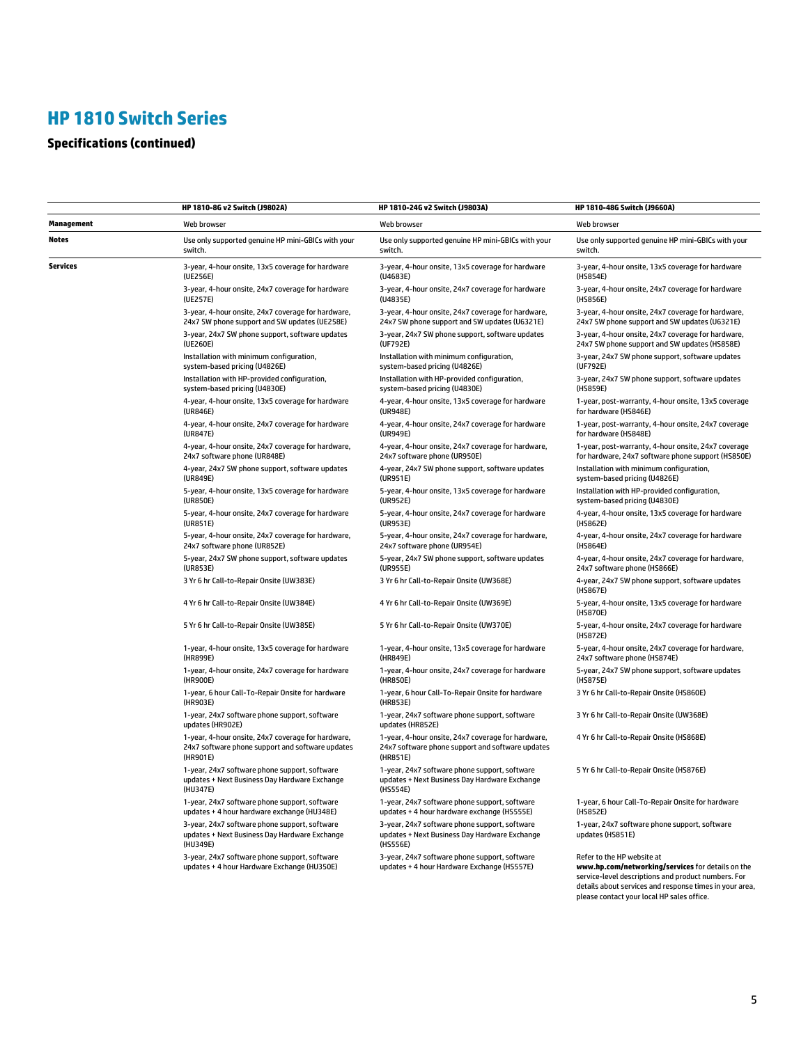# **Specifications (continued)**

|            | HP 1810-8G v2 Switch (J9802A)                                                                                      | HP 1810-24G v2 Switch (J9803A)                                                                                     | HP 1810-48G Switch (J9660A)                                                                                                                                                                                                                     |
|------------|--------------------------------------------------------------------------------------------------------------------|--------------------------------------------------------------------------------------------------------------------|-------------------------------------------------------------------------------------------------------------------------------------------------------------------------------------------------------------------------------------------------|
| Management | Web browser                                                                                                        | Web browser                                                                                                        | Web browser                                                                                                                                                                                                                                     |
| Notes      | Use only supported genuine HP mini-GBICs with your                                                                 | Use only supported genuine HP mini-GBICs with your                                                                 | Use only supported genuine HP mini-GBICs with your                                                                                                                                                                                              |
|            | switch.                                                                                                            | switch.                                                                                                            | switch.                                                                                                                                                                                                                                         |
| Services   | 3-year, 4-hour onsite, 13x5 coverage for hardware                                                                  | 3-year, 4-hour onsite, 13x5 coverage for hardware                                                                  | 3-year, 4-hour onsite, 13x5 coverage for hardware                                                                                                                                                                                               |
|            | (UE256E)                                                                                                           | (U4683E)                                                                                                           | (HS854E)                                                                                                                                                                                                                                        |
|            | 3-year, 4-hour onsite, 24x7 coverage for hardware                                                                  | 3-year, 4-hour onsite, 24x7 coverage for hardware                                                                  | 3-year, 4-hour onsite, 24x7 coverage for hardware                                                                                                                                                                                               |
|            | (UE257E)                                                                                                           | (U4835E)                                                                                                           | (HS856E)                                                                                                                                                                                                                                        |
|            | 3-year, 4-hour onsite, 24x7 coverage for hardware,                                                                 | 3-year, 4-hour onsite, 24x7 coverage for hardware,                                                                 | 3-year, 4-hour onsite, 24x7 coverage for hardware,                                                                                                                                                                                              |
|            | 24x7 SW phone support and SW updates (UE258E)                                                                      | 24x7 SW phone support and SW updates (U6321E)                                                                      | 24x7 SW phone support and SW updates (U6321E)                                                                                                                                                                                                   |
|            | 3-year, 24x7 SW phone support, software updates                                                                    | 3-year, 24x7 SW phone support, software updates                                                                    | 3-year, 4-hour onsite, 24x7 coverage for hardware,                                                                                                                                                                                              |
|            | (UE260E)                                                                                                           | (UF792E)                                                                                                           | 24x7 SW phone support and SW updates (HS858E)                                                                                                                                                                                                   |
|            | Installation with minimum configuration,                                                                           | Installation with minimum configuration,                                                                           | 3-year, 24x7 SW phone support, software updates                                                                                                                                                                                                 |
|            | system-based pricing (U4826E)                                                                                      | system-based pricing (U4826E)                                                                                      | (UF792E)                                                                                                                                                                                                                                        |
|            | Installation with HP-provided configuration,                                                                       | Installation with HP-provided configuration,                                                                       | 3-year, 24x7 SW phone support, software updates                                                                                                                                                                                                 |
|            | system-based pricing (U4830E)                                                                                      | system-based pricing (U4830E)                                                                                      | (HS859E)                                                                                                                                                                                                                                        |
|            | 4-year, 4-hour onsite, 13x5 coverage for hardware                                                                  | 4-year, 4-hour onsite, 13x5 coverage for hardware                                                                  | 1-year, post-warranty, 4-hour onsite, 13x5 coverage                                                                                                                                                                                             |
|            | (UR846E)                                                                                                           | (UR948E)                                                                                                           | for hardware (HS846E)                                                                                                                                                                                                                           |
|            | 4-year, 4-hour onsite, 24x7 coverage for hardware                                                                  | 4-year, 4-hour onsite, 24x7 coverage for hardware                                                                  | 1-year, post-warranty, 4-hour onsite, 24x7 coverage                                                                                                                                                                                             |
|            | (UR847E)                                                                                                           | (UR949E)                                                                                                           | for hardware (HS848E)                                                                                                                                                                                                                           |
|            | 4-year, 4-hour onsite, 24x7 coverage for hardware,                                                                 | 4-year, 4-hour onsite, 24x7 coverage for hardware,                                                                 | 1-year, post-warranty, 4-hour onsite, 24x7 coverage                                                                                                                                                                                             |
|            | 24x7 software phone (UR848E)                                                                                       | 24x7 software phone (UR950E)                                                                                       | for hardware, 24x7 software phone support (HS850E)                                                                                                                                                                                              |
|            | 4-year, 24x7 SW phone support, software updates                                                                    | 4-year, 24x7 SW phone support, software updates                                                                    | Installation with minimum configuration,                                                                                                                                                                                                        |
|            | (UR849E)                                                                                                           | (UR951E)                                                                                                           | system-based pricing (U4826E)                                                                                                                                                                                                                   |
|            | 5-year, 4-hour onsite, 13x5 coverage for hardware                                                                  | 5-year, 4-hour onsite, 13x5 coverage for hardware                                                                  | Installation with HP-provided configuration,                                                                                                                                                                                                    |
|            | (UR850E)                                                                                                           | (UR952E)                                                                                                           | system-based pricing (U4830E)                                                                                                                                                                                                                   |
|            | 5-year, 4-hour onsite, 24x7 coverage for hardware                                                                  | 5-year, 4-hour onsite, 24x7 coverage for hardware                                                                  | 4-year, 4-hour onsite, 13x5 coverage for hardware                                                                                                                                                                                               |
|            | (UR851E)                                                                                                           | (UR953E)                                                                                                           | (HS862E)                                                                                                                                                                                                                                        |
|            | 5-year, 4-hour onsite, 24x7 coverage for hardware,                                                                 | 5-year, 4-hour onsite, 24x7 coverage for hardware,                                                                 | 4-year, 4-hour onsite, 24x7 coverage for hardware                                                                                                                                                                                               |
|            | 24x7 software phone (UR852E)                                                                                       | 24x7 software phone (UR954E)                                                                                       | (HS864E)                                                                                                                                                                                                                                        |
|            | 5-year, 24x7 SW phone support, software updates                                                                    | 5-year, 24x7 SW phone support, software updates                                                                    | 4-year, 4-hour onsite, 24x7 coverage for hardware,                                                                                                                                                                                              |
|            | (UR853E)                                                                                                           | (UR955E)                                                                                                           | 24x7 software phone (HS866E)                                                                                                                                                                                                                    |
|            | 3 Yr 6 hr Call-to-Repair Onsite (UW383E)                                                                           | 3 Yr 6 hr Call-to-Repair Onsite (UW368E)                                                                           | 4-year, 24x7 SW phone support, software updates<br>(HS867E)                                                                                                                                                                                     |
|            | 4 Yr 6 hr Call-to-Repair Onsite (UW384E)                                                                           | 4 Yr 6 hr Call-to-Repair Onsite (UW369E)                                                                           | 5-year, 4-hour onsite, 13x5 coverage for hardware<br>(HS870E)                                                                                                                                                                                   |
|            | 5 Yr 6 hr Call-to-Repair Onsite (UW385E)                                                                           | 5 Yr 6 hr Call-to-Repair Onsite (UW370E)                                                                           | 5-year, 4-hour onsite, 24x7 coverage for hardware<br>(HS872E)                                                                                                                                                                                   |
|            | 1-year, 4-hour onsite, 13x5 coverage for hardware                                                                  | 1-year, 4-hour onsite, 13x5 coverage for hardware                                                                  | 5-year, 4-hour onsite, 24x7 coverage for hardware,                                                                                                                                                                                              |
|            | (HR899E)                                                                                                           | (HR849E)                                                                                                           | 24x7 software phone (HS874E)                                                                                                                                                                                                                    |
|            | 1-year, 4-hour onsite, 24x7 coverage for hardware                                                                  | 1-year, 4-hour onsite, 24x7 coverage for hardware                                                                  | 5-year, 24x7 SW phone support, software updates                                                                                                                                                                                                 |
|            | (HR900E)                                                                                                           | (HR850E)                                                                                                           | (HS875E)                                                                                                                                                                                                                                        |
|            | 1-year, 6 hour Call-To-Repair Onsite for hardware<br>(HR903E)                                                      | 1-year, 6 hour Call-To-Repair Onsite for hardware<br>(HR853E)                                                      | 3 Yr 6 hr Call-to-Repair Onsite (HS860E)                                                                                                                                                                                                        |
|            | 1-year, 24x7 software phone support, software<br>updates (HR902E)                                                  | 1-year, 24x7 software phone support, software<br>updates (HR852E)                                                  | 3 Yr 6 hr Call-to-Repair Onsite (UW368E)                                                                                                                                                                                                        |
|            | 1-year, 4-hour onsite, 24x7 coverage for hardware,<br>24x7 software phone support and software updates<br>(HR901E) | 1-year, 4-hour onsite, 24x7 coverage for hardware,<br>24x7 software phone support and software updates<br>(HR851E) | 4 Yr 6 hr Call-to-Repair Onsite (HS868E)                                                                                                                                                                                                        |
|            | 1-year, 24x7 software phone support, software<br>updates + Next Business Day Hardware Exchange<br>(HU347E)         | 1-year, 24x7 software phone support, software<br>updates + Next Business Day Hardware Exchange<br>(HS554E)         | 5 Yr 6 hr Call-to-Repair Onsite (HS876E)                                                                                                                                                                                                        |
|            | 1-year, 24x7 software phone support, software                                                                      | 1-year, 24x7 software phone support, software                                                                      | 1-year, 6 hour Call-To-Repair Onsite for hardware                                                                                                                                                                                               |
|            | updates + 4 hour hardware exchange (HU348E)                                                                        | updates + 4 hour hardware exchange (HS555E)                                                                        | (HS852E)                                                                                                                                                                                                                                        |
|            | 3-year, 24x7 software phone support, software<br>updates + Next Business Day Hardware Exchange<br>(HU349E)         | 3-year, 24x7 software phone support, software<br>updates + Next Business Day Hardware Exchange<br>(HS556E)         | 1-year, 24x7 software phone support, software<br>updates (HS851E)                                                                                                                                                                               |
|            | 3-year, 24x7 software phone support, software<br>updates + 4 hour Hardware Exchange (HU350E)                       | 3-year, 24x7 software phone support, software<br>updates + 4 hour Hardware Exchange (HS557E)                       | Refer to the HP website at<br>www.hp.com/networking/services for details on the<br>service-level descriptions and product numbers. For<br>details about services and response times in your area,<br>please contact your local HP sales office. |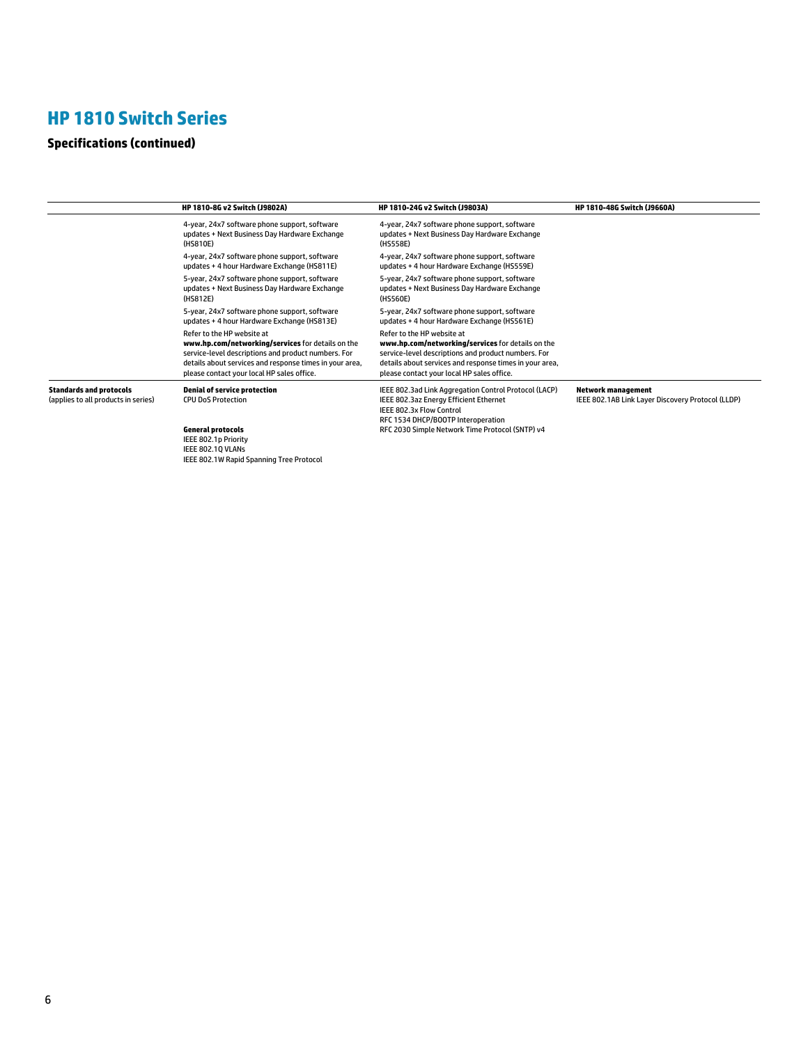# **Specifications (continued)**

|                                                                       | HP 1810-8G v2 Switch (J9802A)                                                                                                                                                                                                                   | HP 1810-24G v2 Switch (J9803A)                                                                                                                                                                                                                  | HP 1810-48G Switch (J9660A)                                             |
|-----------------------------------------------------------------------|-------------------------------------------------------------------------------------------------------------------------------------------------------------------------------------------------------------------------------------------------|-------------------------------------------------------------------------------------------------------------------------------------------------------------------------------------------------------------------------------------------------|-------------------------------------------------------------------------|
|                                                                       | 4-year, 24x7 software phone support, software<br>updates + Next Business Day Hardware Exchange<br>(HS810E)                                                                                                                                      | 4-year, 24x7 software phone support, software<br>updates + Next Business Day Hardware Exchange<br>(HS558E)                                                                                                                                      |                                                                         |
|                                                                       | 4-year, 24x7 software phone support, software<br>updates + 4 hour Hardware Exchange (HS811E)                                                                                                                                                    | 4-year, 24x7 software phone support, software<br>updates + 4 hour Hardware Exchange (HS559E)                                                                                                                                                    |                                                                         |
|                                                                       | 5-year, 24x7 software phone support, software<br>updates + Next Business Day Hardware Exchange<br>(HS812E)                                                                                                                                      | 5-year, 24x7 software phone support, software<br>updates + Next Business Day Hardware Exchange<br>(HS560E)                                                                                                                                      |                                                                         |
|                                                                       | 5-year, 24x7 software phone support, software<br>updates + 4 hour Hardware Exchange (HS813E)                                                                                                                                                    | 5-year, 24x7 software phone support, software<br>updates + 4 hour Hardware Exchange (HS561E)                                                                                                                                                    |                                                                         |
|                                                                       | Refer to the HP website at<br>www.hp.com/networking/services for details on the<br>service-level descriptions and product numbers. For<br>details about services and response times in your area,<br>please contact your local HP sales office. | Refer to the HP website at<br>www.hp.com/networking/services for details on the<br>service-level descriptions and product numbers. For<br>details about services and response times in your area,<br>please contact your local HP sales office. |                                                                         |
| <b>Standards and protocols</b><br>(applies to all products in series) | <b>Denial of service protection</b><br><b>CPU DoS Protection</b>                                                                                                                                                                                | IEEE 802.3ad Link Aggregation Control Protocol (LACP)<br>IEEE 802.3az Energy Efficient Ethernet<br>IEEE 802.3x Flow Control<br>RFC 1534 DHCP/BOOTP Interoperation                                                                               | Network management<br>IEEE 802.1AB Link Layer Discovery Protocol (LLDP) |
|                                                                       | <b>General protocols</b><br>IEEE 802.1p Priority<br>IEEE 802.1Q VLANs<br>IEEE 802.1W Rapid Spanning Tree Protocol                                                                                                                               | RFC 2030 Simple Network Time Protocol (SNTP) v4                                                                                                                                                                                                 |                                                                         |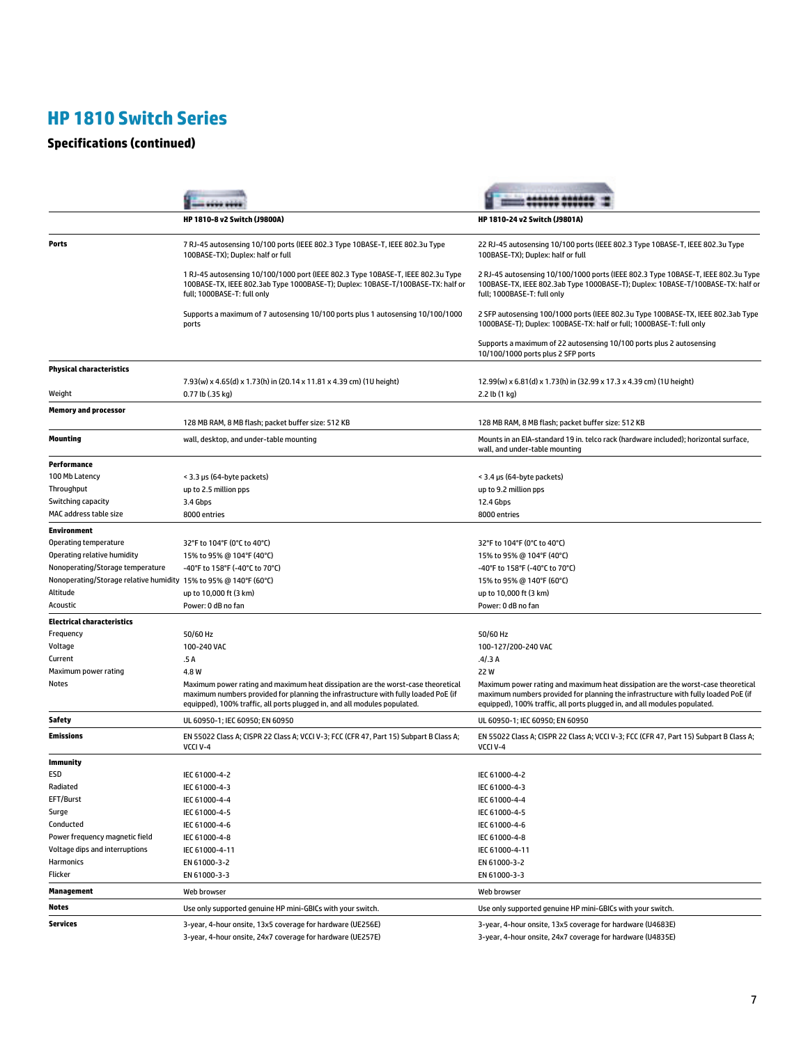# **Specifications (continued)**

|                                                                  | HP 1810-8 v2 Switch (J9800A)                                                                                                                                                                                                                        | HP 1810-24 v2 Switch (J9801A)                                                                                                                                                                                                                       |
|------------------------------------------------------------------|-----------------------------------------------------------------------------------------------------------------------------------------------------------------------------------------------------------------------------------------------------|-----------------------------------------------------------------------------------------------------------------------------------------------------------------------------------------------------------------------------------------------------|
| Ports                                                            | 7 RJ-45 autosensing 10/100 ports (IEEE 802.3 Type 10BASE-T, IEEE 802.3u Type<br>100BASE-TX); Duplex: half or full                                                                                                                                   | 22 RJ-45 autosensing 10/100 ports (IEEE 802.3 Type 10BASE-T, IEEE 802.3u Type<br>100BASE-TX); Duplex: half or full                                                                                                                                  |
|                                                                  | 1 RJ-45 autosensing 10/100/1000 port (IEEE 802.3 Type 10BASE-T, IEEE 802.3u Type<br>100BASE-TX, IEEE 802.3ab Type 1000BASE-T); Duplex: 10BASE-T/100BASE-TX: half or<br>full; 1000BASE-T: full only                                                  | 2 RJ-45 autosensing 10/100/1000 ports (IEEE 802.3 Type 10BASE-T, IEEE 802.3u Type<br>100BASE-TX, IEEE 802.3ab Type 1000BASE-T); Duplex: 10BASE-T/100BASE-TX: half or<br>full; 1000BASE-T: full only                                                 |
|                                                                  | Supports a maximum of 7 autosensing 10/100 ports plus 1 autosensing 10/100/1000<br>ports                                                                                                                                                            | 2 SFP autosensing 100/1000 ports (IEEE 802.3u Type 100BASE-TX, IEEE 802.3ab Type<br>1000BASE-T); Duplex: 100BASE-TX: half or full; 1000BASE-T: full only                                                                                            |
|                                                                  |                                                                                                                                                                                                                                                     | Supports a maximum of 22 autosensing 10/100 ports plus 2 autosensing<br>10/100/1000 ports plus 2 SFP ports                                                                                                                                          |
| <b>Physical characteristics</b>                                  |                                                                                                                                                                                                                                                     |                                                                                                                                                                                                                                                     |
| Weight                                                           | 7.93(w) x 4.65(d) x 1.73(h) in (20.14 x 11.81 x 4.39 cm) (1U height)<br>0.77 lb (.35 kg)                                                                                                                                                            | 12.99(w) x 6.81(d) x 1.73(h) in (32.99 x 17.3 x 4.39 cm) (1U height)<br>2.2 lb (1 kg)                                                                                                                                                               |
| <b>Memory and processor</b>                                      |                                                                                                                                                                                                                                                     |                                                                                                                                                                                                                                                     |
|                                                                  | 128 MB RAM, 8 MB flash; packet buffer size: 512 KB                                                                                                                                                                                                  | 128 MB RAM, 8 MB flash; packet buffer size: 512 KB                                                                                                                                                                                                  |
| Mounting                                                         | wall, desktop, and under-table mounting                                                                                                                                                                                                             | Mounts in an EIA-standard 19 in. telco rack (hardware included); horizontal surface,<br>wall, and under-table mounting                                                                                                                              |
| Performance                                                      |                                                                                                                                                                                                                                                     |                                                                                                                                                                                                                                                     |
| 100 Mb Latency                                                   | < 3.3 µs (64-byte packets)                                                                                                                                                                                                                          | < 3.4 µs (64-byte packets)                                                                                                                                                                                                                          |
| Throughput                                                       | up to 2.5 million pps                                                                                                                                                                                                                               | up to 9.2 million pps                                                                                                                                                                                                                               |
| Switching capacity                                               | 3.4 Gbps                                                                                                                                                                                                                                            | 12.4 Gbps                                                                                                                                                                                                                                           |
| MAC address table size                                           | 8000 entries                                                                                                                                                                                                                                        | 8000 entries                                                                                                                                                                                                                                        |
| <b>Environment</b>                                               |                                                                                                                                                                                                                                                     |                                                                                                                                                                                                                                                     |
| Operating temperature                                            | 32°F to 104°F (0°C to 40°C)                                                                                                                                                                                                                         | 32°F to 104°F (0°C to 40°C)                                                                                                                                                                                                                         |
| Operating relative humidity                                      | 15% to 95% @ 104°F (40°C)                                                                                                                                                                                                                           | 15% to 95% @ 104°F (40°C)                                                                                                                                                                                                                           |
| Nonoperating/Storage temperature                                 | -40°F to 158°F (-40°C to 70°C)                                                                                                                                                                                                                      | -40°F to 158°F (-40°C to 70°C)                                                                                                                                                                                                                      |
| Nonoperating/Storage relative humidity 15% to 95% @ 140°F (60°C) |                                                                                                                                                                                                                                                     | 15% to 95% @ 140°F (60°C)                                                                                                                                                                                                                           |
| Altitude                                                         | up to 10,000 ft (3 km)                                                                                                                                                                                                                              | up to 10,000 ft (3 km)                                                                                                                                                                                                                              |
| Acoustic                                                         | Power: 0 dB no fan                                                                                                                                                                                                                                  | Power: 0 dB no fan                                                                                                                                                                                                                                  |
| <b>Electrical characteristics</b>                                |                                                                                                                                                                                                                                                     |                                                                                                                                                                                                                                                     |
| Frequency                                                        | 50/60 Hz                                                                                                                                                                                                                                            | 50/60 Hz                                                                                                                                                                                                                                            |
| Voltage                                                          | 100-240 VAC                                                                                                                                                                                                                                         | 100-127/200-240 VAC                                                                                                                                                                                                                                 |
| Current                                                          | .5 A                                                                                                                                                                                                                                                | .4/3A                                                                                                                                                                                                                                               |
| Maximum power rating                                             | 4.8 W                                                                                                                                                                                                                                               | 22 W                                                                                                                                                                                                                                                |
| Notes                                                            | Maximum power rating and maximum heat dissipation are the worst-case theoretical<br>maximum numbers provided for planning the infrastructure with fully loaded PoE (if<br>equipped), 100% traffic, all ports plugged in, and all modules populated. | Maximum power rating and maximum heat dissipation are the worst-case theoretical<br>maximum numbers provided for planning the infrastructure with fully loaded PoE (if<br>equipped), 100% traffic, all ports plugged in, and all modules populated. |
| Safety                                                           | UL 60950-1; IEC 60950; EN 60950                                                                                                                                                                                                                     | UL 60950-1: IEC 60950: EN 60950                                                                                                                                                                                                                     |
| Emissions                                                        | EN 55022 Class A; CISPR 22 Class A; VCCI V-3; FCC (CFR 47, Part 15) Subpart B Class A;<br>VCCI V-4                                                                                                                                                  | EN 55022 Class A; CISPR 22 Class A; VCCI V-3; FCC (CFR 47, Part 15) Subpart B Class A;<br>VCCI V-4                                                                                                                                                  |
| Immunity                                                         |                                                                                                                                                                                                                                                     |                                                                                                                                                                                                                                                     |
| ESD                                                              | IEC 61000-4-2                                                                                                                                                                                                                                       | IEC 61000-4-2                                                                                                                                                                                                                                       |
| Radiated                                                         | IEC 61000-4-3                                                                                                                                                                                                                                       | IEC 61000-4-3                                                                                                                                                                                                                                       |
| EFT/Burst                                                        | IEC 61000-4-4                                                                                                                                                                                                                                       | IEC 61000-4-4                                                                                                                                                                                                                                       |
| Surge                                                            | IEC 61000-4-5                                                                                                                                                                                                                                       | IEC 61000-4-5                                                                                                                                                                                                                                       |
| Conducted                                                        | IEC 61000-4-6                                                                                                                                                                                                                                       | IEC 61000-4-6                                                                                                                                                                                                                                       |
| Power frequency magnetic field                                   | IEC 61000-4-8                                                                                                                                                                                                                                       | IEC 61000-4-8                                                                                                                                                                                                                                       |
| Voltage dips and interruptions                                   | IEC 61000-4-11                                                                                                                                                                                                                                      | IEC 61000-4-11                                                                                                                                                                                                                                      |
| <b>Harmonics</b>                                                 | EN 61000-3-2                                                                                                                                                                                                                                        | EN 61000-3-2                                                                                                                                                                                                                                        |
| Flicker                                                          | EN 61000-3-3                                                                                                                                                                                                                                        | EN 61000-3-3                                                                                                                                                                                                                                        |
| Management                                                       | Web browser                                                                                                                                                                                                                                         | Web browser                                                                                                                                                                                                                                         |
| Notes                                                            | Use only supported genuine HP mini-GBICs with your switch.                                                                                                                                                                                          | Use only supported genuine HP mini-GBICs with your switch.                                                                                                                                                                                          |
| Services                                                         | 3-year, 4-hour onsite, 13x5 coverage for hardware (UE256E)                                                                                                                                                                                          | 3-year, 4-hour onsite, 13x5 coverage for hardware (U4683E)                                                                                                                                                                                          |
|                                                                  | 3-year, 4-hour onsite, 24x7 coverage for hardware (UE257E)                                                                                                                                                                                          | 3-year, 4-hour onsite, 24x7 coverage for hardware (U4835E)                                                                                                                                                                                          |
|                                                                  |                                                                                                                                                                                                                                                     |                                                                                                                                                                                                                                                     |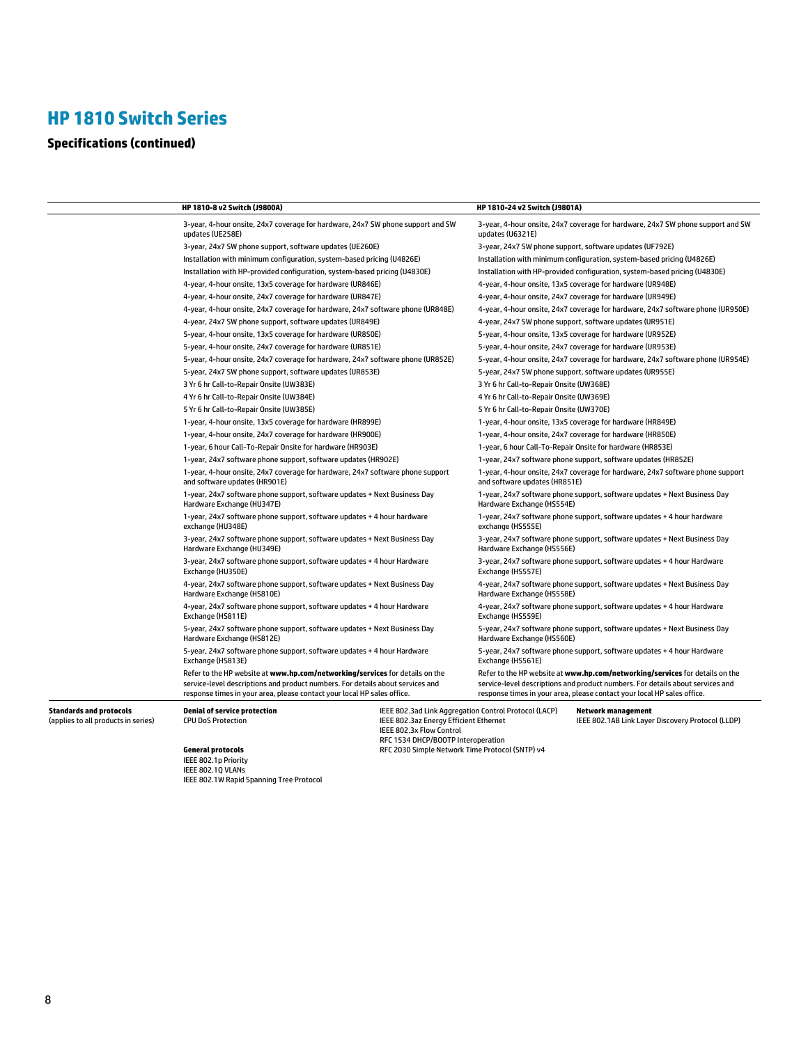# **Specifications (continued)**

|                                                                | HP 1810-8 v2 Switch (J9800A)                                                                                                                                                                                                              | HP 1810-24 v2 Switch (J9801A)                                                                                                                                                                                                             |
|----------------------------------------------------------------|-------------------------------------------------------------------------------------------------------------------------------------------------------------------------------------------------------------------------------------------|-------------------------------------------------------------------------------------------------------------------------------------------------------------------------------------------------------------------------------------------|
|                                                                | 3-year, 4-hour onsite, 24x7 coverage for hardware, 24x7 SW phone support and SW<br>updates (UE258E)                                                                                                                                       | 3-year, 4-hour onsite, 24x7 coverage for hardware, 24x7 SW phone support and SW<br>updates (U6321E)                                                                                                                                       |
|                                                                | 3-year, 24x7 SW phone support, software updates (UE260E)                                                                                                                                                                                  | 3-year, 24x7 SW phone support, software updates (UF792E)                                                                                                                                                                                  |
|                                                                | Installation with minimum configuration, system-based pricing (U4826E)                                                                                                                                                                    | Installation with minimum configuration, system-based pricing (U4826E)                                                                                                                                                                    |
|                                                                | Installation with HP-provided configuration, system-based pricing (U4830E)                                                                                                                                                                | Installation with HP-provided configuration, system-based pricing (U4830E)                                                                                                                                                                |
|                                                                | 4-year, 4-hour onsite, 13x5 coverage for hardware (UR846E)                                                                                                                                                                                | 4-year, 4-hour onsite, 13x5 coverage for hardware (UR948E)                                                                                                                                                                                |
|                                                                | 4-year, 4-hour onsite, 24x7 coverage for hardware (UR847E)                                                                                                                                                                                | 4-year, 4-hour onsite, 24x7 coverage for hardware (UR949E)                                                                                                                                                                                |
|                                                                | 4-year, 4-hour onsite, 24x7 coverage for hardware, 24x7 software phone (UR848E)                                                                                                                                                           | 4-year, 4-hour onsite, 24x7 coverage for hardware, 24x7 software phone (UR950E)                                                                                                                                                           |
|                                                                | 4-year, 24x7 SW phone support, software updates (UR849E)                                                                                                                                                                                  | 4-year, 24x7 SW phone support, software updates (UR951E)                                                                                                                                                                                  |
|                                                                | 5-year, 4-hour onsite, 13x5 coverage for hardware (UR850E)                                                                                                                                                                                | 5-year, 4-hour onsite, 13x5 coverage for hardware (UR952E)                                                                                                                                                                                |
|                                                                | 5-year, 4-hour onsite, 24x7 coverage for hardware (UR851E)                                                                                                                                                                                | 5-year, 4-hour onsite, 24x7 coverage for hardware (UR953E)                                                                                                                                                                                |
|                                                                | 5-year, 4-hour onsite, 24x7 coverage for hardware, 24x7 software phone (UR852E)                                                                                                                                                           | 5-year, 4-hour onsite, 24x7 coverage for hardware, 24x7 software phone (UR954E)                                                                                                                                                           |
|                                                                | 5-year, 24x7 SW phone support, software updates (UR853E)                                                                                                                                                                                  | 5-year, 24x7 SW phone support, software updates (UR955E)                                                                                                                                                                                  |
|                                                                | 3 Yr 6 hr Call-to-Repair Onsite (UW383E)                                                                                                                                                                                                  | 3 Yr 6 hr Call-to-Repair Onsite (UW368E)                                                                                                                                                                                                  |
|                                                                | 4 Yr 6 hr Call-to-Repair Onsite (UW384E)                                                                                                                                                                                                  | 4 Yr 6 hr Call-to-Repair Onsite (UW369E)                                                                                                                                                                                                  |
|                                                                | 5 Yr 6 hr Call-to-Repair Onsite (UW385E)                                                                                                                                                                                                  | 5 Yr 6 hr Call-to-Repair Onsite (UW370E)                                                                                                                                                                                                  |
|                                                                | 1-year, 4-hour onsite, 13x5 coverage for hardware (HR899E)                                                                                                                                                                                | 1-year, 4-hour onsite, 13x5 coverage for hardware (HR849E)                                                                                                                                                                                |
|                                                                | 1-year, 4-hour onsite, 24x7 coverage for hardware (HR900E)                                                                                                                                                                                | 1-year, 4-hour onsite, 24x7 coverage for hardware (HR850E)                                                                                                                                                                                |
|                                                                | 1-year, 6 hour Call-To-Repair Onsite for hardware (HR903E)                                                                                                                                                                                | 1-year, 6 hour Call-To-Repair Onsite for hardware (HR853E)                                                                                                                                                                                |
|                                                                | 1-year, 24x7 software phone support, software updates (HR902E)                                                                                                                                                                            | 1-year, 24x7 software phone support, software updates (HR852E)                                                                                                                                                                            |
|                                                                | 1-year, 4-hour onsite, 24x7 coverage for hardware, 24x7 software phone support<br>and software updates (HR901E)                                                                                                                           | 1-year, 4-hour onsite, 24x7 coverage for hardware, 24x7 software phone support<br>and software updates (HR851E)                                                                                                                           |
|                                                                | 1-year, 24x7 software phone support, software updates + Next Business Day<br>Hardware Exchange (HU347E)                                                                                                                                   | 1-year, 24x7 software phone support, software updates + Next Business Day<br>Hardware Exchange (HS554E)                                                                                                                                   |
|                                                                | 1-year, 24x7 software phone support, software updates + 4 hour hardware<br>exchange (HU348E)                                                                                                                                              | 1-year, 24x7 software phone support, software updates + 4 hour hardware<br>exchange (HS555E)                                                                                                                                              |
|                                                                | 3-year, 24x7 software phone support, software updates + Next Business Day<br>Hardware Exchange (HU349E)                                                                                                                                   | 3-year, 24x7 software phone support, software updates + Next Business Day<br>Hardware Exchange (HS556E)                                                                                                                                   |
|                                                                | 3-year, 24x7 software phone support, software updates + 4 hour Hardware<br>Exchange (HU350E)                                                                                                                                              | 3-year, 24x7 software phone support, software updates + 4 hour Hardware<br>Exchange (HS557E)                                                                                                                                              |
|                                                                | 4-year, 24x7 software phone support, software updates + Next Business Day<br>Hardware Exchange (HS810E)                                                                                                                                   | 4-year, 24x7 software phone support, software updates + Next Business Day<br>Hardware Exchange (HS558E)                                                                                                                                   |
|                                                                | 4-year, 24x7 software phone support, software updates + 4 hour Hardware<br>Exchange (HS811E)                                                                                                                                              | 4-year, 24x7 software phone support, software updates + 4 hour Hardware<br>Exchange (HS559E)                                                                                                                                              |
|                                                                | 5-year, 24x7 software phone support, software updates + Next Business Day<br>Hardware Exchange (HS812E)                                                                                                                                   | 5-year, 24x7 software phone support, software updates + Next Business Day<br>Hardware Exchange (HS560E)                                                                                                                                   |
|                                                                | 5-year, 24x7 software phone support, software updates + 4 hour Hardware<br>Exchange (HS813E)                                                                                                                                              | 5-year, 24x7 software phone support, software updates + 4 hour Hardware<br>Exchange (HS561E)                                                                                                                                              |
|                                                                | Refer to the HP website at www.hp.com/networking/services for details on the<br>service-level descriptions and product numbers. For details about services and<br>response times in your area, please contact your local HP sales office. | Refer to the HP website at www.hp.com/networking/services for details on the<br>service-level descriptions and product numbers. For details about services and<br>response times in your area, please contact your local HP sales office. |
| Standards and protocols<br>(applies to all products in series) | Denial of service protection<br><b>CPU DoS Protection</b><br>IEEE 802.3az Energy Efficient Ethernet                                                                                                                                       | IEEE 802.3ad Link Aggregation Control Protocol (LACP)<br>Network management<br>IEEE 802.1AB Link Layer Discovery Protocol (LLDP)                                                                                                          |

**General protocols**<br>IEEE 802.1p Priority<br>IEEE 802.1Q VLANs<br>IEEE 802.1W Rapid Spanning Tree Protocol

IEEE 802.3ad Link Aggregation Control Protocol (LACP) IEEE 802.3az Energy Efficient Ethernet IEEE 802.3x Flow Control RFC 1534 DHCP/BOOTP Interoperation RFC 2030 Simple Network Time Protocol (SNTP) v4